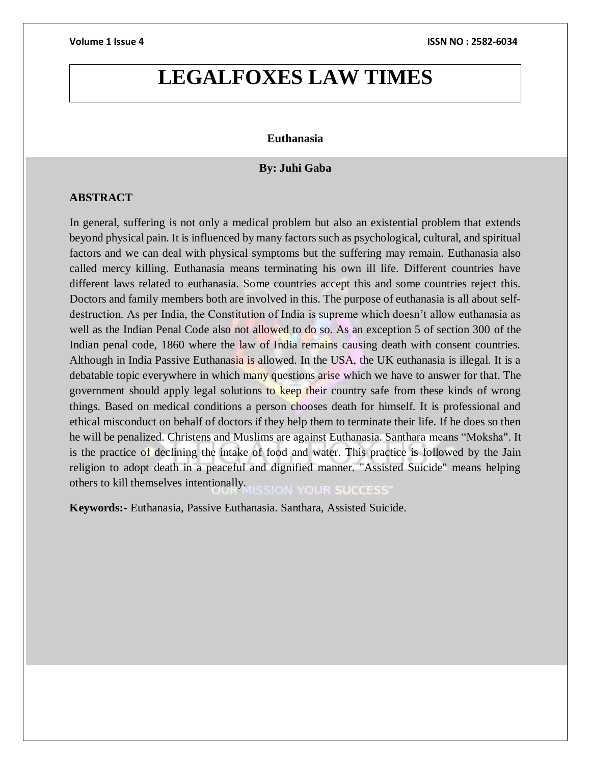# **LEGALFOXES LAW TIMES**

# **Euthanasia**

# **By: Juhi Gaba**

# **ABSTRACT**

In general, suffering is not only a medical problem but also an existential problem that extends beyond physical pain. It is influenced by many factors such as psychological, cultural, and spiritual factors and we can deal with physical symptoms but the suffering may remain. Euthanasia also called mercy killing. Euthanasia means terminating his own ill life. Different countries have different laws related to euthanasia. Some countries accept this and some countries reject this. Doctors and family members both are involved in this. The purpose of euthanasia is all about selfdestruction. As per India, the Constitution of India is supreme which doesn't allow euthanasia as well as the Indian Penal Code also not allowed to do so. As an exception 5 of section 300 of the Indian penal code, 1860 where the law of India remains causing death with consent countries. Although in India Passive Euthanasia is allowed. In the USA, the UK euthanasia is illegal. It is a debatable topic everywhere in which many questions arise which we have to answer for that. The government should apply legal solutions to keep their country safe from these kinds of wrong things. Based on medical conditions a person chooses death for himself. It is professional and ethical misconduct on behalf of doctors if they help them to terminate their life. If he does so then he will be penalized. Christens and Muslims are against Euthanasia. Santhara means "Moksha". It is the practice of declining the intake of food and water. This practice is followed by the Jain religion to adopt death in a peaceful and dignified manner. "Assisted Suicide" means helping others to kill themselves intentionally. ON YOUR SUCCESS'

**Keywords:-** Euthanasia, Passive Euthanasia. Santhara, Assisted Suicide.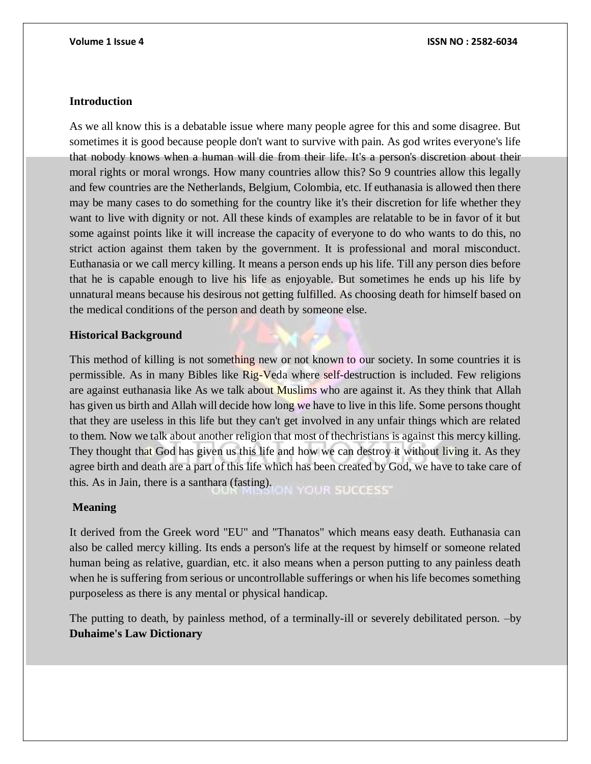# **Introduction**

As we all know this is a debatable issue where many people agree for this and some disagree. But sometimes it is good because people don't want to survive with pain. As god writes everyone's life that nobody knows when a human will die from their life. It's a person's discretion about their moral rights or moral wrongs. How many countries allow this? So 9 countries allow this legally and few countries are the Netherlands, Belgium, Colombia, etc. If euthanasia is allowed then there may be many cases to do something for the country like it's their discretion for life whether they want to live with dignity or not. All these kinds of examples are relatable to be in favor of it but some against points like it will increase the capacity of everyone to do who wants to do this, no strict action against them taken by the government. It is professional and moral misconduct. Euthanasia or we call mercy killing. It means a person ends up his life. Till any person dies before that he is capable enough to live his life as enjoyable. But sometimes he ends up his life by unnatural means because his desirous not getting fulfilled. As choosing death for himself based on the medical conditions of the person and death by someone else.

# **Historical Background**

This method of killing is not something new or not known to our society. In some countries it is permissible. As in many Bibles like Rig-Veda where self-destruction is included. Few religions are against euthanasia like As we talk about Muslims who are against it. As they think that Allah has given us birth and Allah will decide how long we have to live in this life. Some persons thought that they are useless in this life but they can't get involved in any unfair things which are related to them. Now we talk about another religion that most of thechristians is against this mercy killing. They thought that God has given us this life and how we can destroy it without living it. As they agree birth and death are a part of this life which has been created by God, we have to take care of this. As in Jain, there is a santhara (fasting). N YOUR SUCCESS'

# **Meaning**

It derived from the Greek word "EU" and "Thanatos" which means easy death. Euthanasia can also be called mercy killing. Its ends a person's life at the request by himself or someone related human being as relative, guardian, etc. it also means when a person putting to any painless death when he is suffering from serious or uncontrollable sufferings or when his life becomes something purposeless as there is any mental or physical handicap.

The putting to death, by painless method, of a terminally-ill or severely debilitated person. –by **Duhaime's Law Dictionary**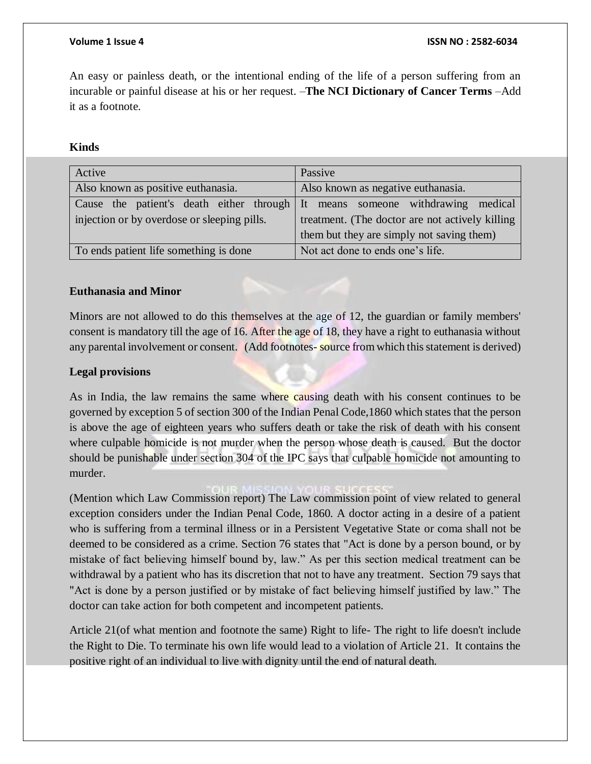An easy or painless death, or the intentional ending of the life of a person suffering from an incurable or painful disease at his or her request. –**The NCI Dictionary of Cancer Terms** –Add it as a footnote.

**Kinds** 

| Active                                                                        | Passive                                         |
|-------------------------------------------------------------------------------|-------------------------------------------------|
| Also known as positive euthanasia.                                            | Also known as negative euthanasia.              |
| Cause the patient's death either through It means someone withdrawing medical |                                                 |
| injection or by overdose or sleeping pills.                                   | treatment. (The doctor are not actively killing |
|                                                                               | them but they are simply not saving them)       |
| To ends patient life something is done                                        | Not act done to ends one's life.                |

# **Euthanasia and Minor**

Minors are not allowed to do this themselves at the age of 12, the guardian or family members' consent is mandatory till the age of 16. After the age of 18, they have a right to euthanasia without any parental involvement or consent. (Add footnotes- source from which this statement is derived)

# **Legal provisions**

As in India, the law remains the same where causing death with his consent continues to be governed by exception 5 of section 300 of the Indian Penal Code,1860 which states that the person is above the age of eighteen years who suffers death or take the risk of death with his consent where culpable homicide is not murder when the person whose death is caused. But the doctor should be punishable under section 304 of the IPC says that culpable homicide not amounting to murder.

(Mention which Law Commission report) The Law commission point of view related to general exception considers under the Indian Penal Code, 1860. A doctor acting in a desire of a patient who is suffering from a terminal illness or in a Persistent Vegetative State or coma shall not be deemed to be considered as a crime. Section 76 states that "Act is done by a person bound, or by mistake of fact believing himself bound by, law." As per this section medical treatment can be withdrawal by a patient who has its discretion that not to have any treatment. Section 79 says that "Act is done by a person justified or by mistake of fact believing himself justified by law." The doctor can take action for both competent and incompetent patients.

Article 21(of what mention and footnote the same) Right to life- The right to life doesn't include the Right to Die. To terminate his own life would lead to a violation of Article 21. It contains the positive right of an individual to live with dignity until the end of natural death.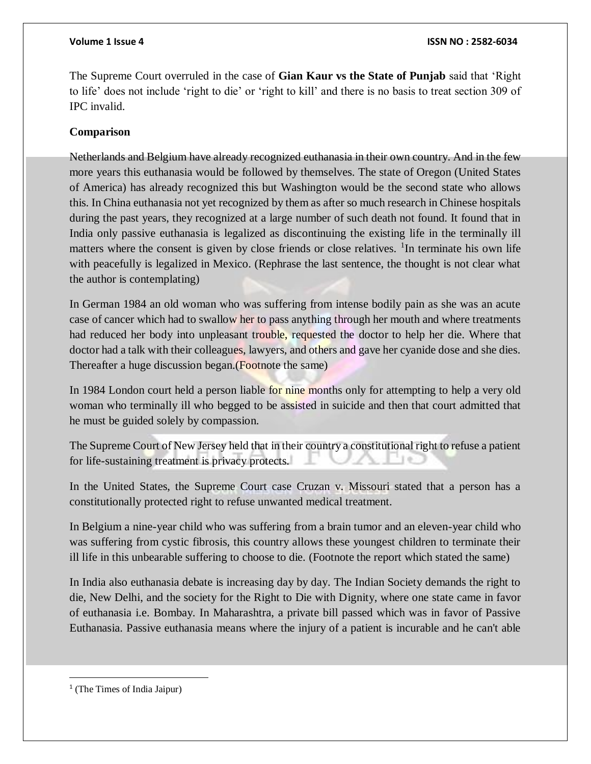The Supreme Court overruled in the case of **Gian Kaur vs the State of Punjab** said that 'Right to life' does not include 'right to die' or 'right to kill' and there is no basis to treat section 309 of IPC invalid.

# **Comparison**

Netherlands and Belgium have already recognized euthanasia in their own country. And in the few more years this euthanasia would be followed by themselves. The state of Oregon (United States of America) has already recognized this but Washington would be the second state who allows this. In China euthanasia not yet recognized by them as after so much research in Chinese hospitals during the past years, they recognized at a large number of such death not found. It found that in India only passive euthanasia is legalized as discontinuing the existing life in the terminally ill matters where the consent is given by close friends or close relatives. <sup>1</sup>In terminate his own life with peacefully is legalized in Mexico. (Rephrase the last sentence, the thought is not clear what the author is contemplating)

In German 1984 an old woman who was suffering from intense bodily pain as she was an acute case of cancer which had to swallow her to pass anything through her mouth and where treatments had reduced her body into unpleasant trouble, requested the doctor to help her die. Where that doctor had a talk with their colleagues, lawyers, and others and gave her cyanide dose and she dies. Thereafter a huge discussion began.(Footnote the same)

In 1984 London court held a person liable for nine months only for attempting to help a very old woman who terminally ill who begged to be assisted in suicide and then that court admitted that he must be guided solely by compassion.

The Supreme Court of New Jersey held that in their country a constitutional right to refuse a patient for life-sustaining treatment is privacy protects.

In the United States, the Supreme Court case Cruzan v. Missouri stated that a person has a constitutionally protected right to refuse unwanted medical treatment.

In Belgium a nine-year child who was suffering from a brain tumor and an eleven-year child who was suffering from cystic fibrosis, this country allows these youngest children to terminate their ill life in this unbearable suffering to choose to die. (Footnote the report which stated the same)

In India also euthanasia debate is increasing day by day. The Indian Society demands the right to die, New Delhi, and the society for the Right to Die with Dignity, where one state came in favor of euthanasia i.e. Bombay. In Maharashtra, a private bill passed which was in favor of Passive Euthanasia. Passive euthanasia means where the injury of a patient is incurable and he can't able

 $\overline{a}$ 

<sup>&</sup>lt;sup>1</sup> (The Times of India Jaipur)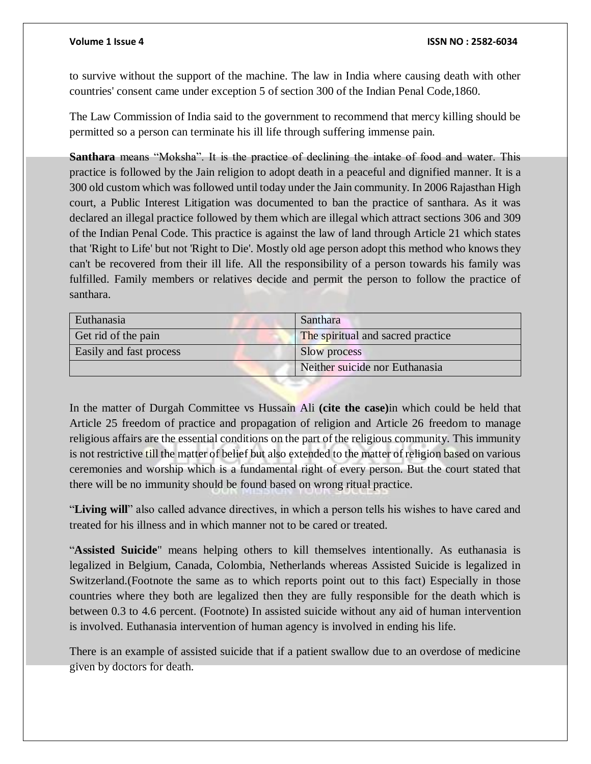to survive without the support of the machine. The law in India where causing death with other countries' consent came under exception 5 of section 300 of the Indian Penal Code,1860.

The Law Commission of India said to the government to recommend that mercy killing should be permitted so a person can terminate his ill life through suffering immense pain.

**Santhara** means "Moksha". It is the practice of declining the intake of food and water. This practice is followed by the Jain religion to adopt death in a peaceful and dignified manner. It is a 300 old custom which was followed until today under the Jain community. In 2006 Rajasthan High court, a Public Interest Litigation was documented to ban the practice of santhara. As it was declared an illegal practice followed by them which are illegal which attract sections 306 and 309 of the Indian Penal Code. This practice is against the law of land through Article 21 which states that 'Right to Life' but not 'Right to Die'. Mostly old age person adopt this method who knows they can't be recovered from their ill life. All the responsibility of a person towards his family was fulfilled. Family members or relatives decide and permit the person to follow the practice of santhara.

| Euthanasia              | Santhara                          |
|-------------------------|-----------------------------------|
| Get rid of the pain     | The spiritual and sacred practice |
| Easily and fast process | Slow process                      |
|                         | Neither suicide nor Euthanasia    |

In the matter of Durgah Committee vs Hussain Ali **(cite the case)**in which could be held that Article 25 freedom of practice and propagation of religion and Article 26 freedom to manage religious affairs are the essential conditions on the part of the religious community. This immunity is not restrictive till the matter of belief but also extended to the matter of religion based on various ceremonies and worship which is a fundamental right of every person. But the court stated that there will be no immunity should be found based on wrong ritual practice.

"**Living will**" also called advance directives, in which a person tells his wishes to have cared and treated for his illness and in which manner not to be cared or treated.

"**Assisted Suicide**" means helping others to kill themselves intentionally. As euthanasia is legalized in Belgium, Canada, Colombia, Netherlands whereas Assisted Suicide is legalized in Switzerland.(Footnote the same as to which reports point out to this fact) Especially in those countries where they both are legalized then they are fully responsible for the death which is between 0.3 to 4.6 percent. (Footnote) In assisted suicide without any aid of human intervention is involved. Euthanasia intervention of human agency is involved in ending his life.

There is an example of assisted suicide that if a patient swallow due to an overdose of medicine given by doctors for death.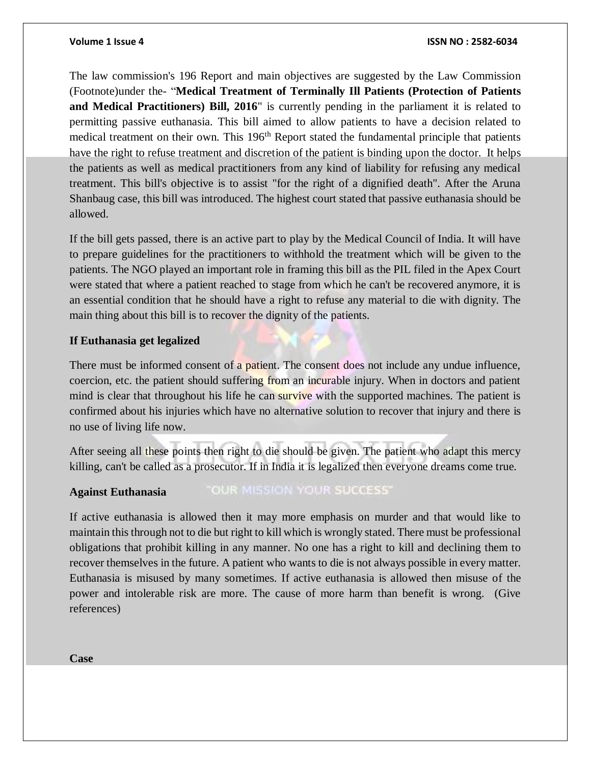### **Volume 1 Issue 4 ISSN NO : 2582-6034**

The law commission's 196 Report and main objectives are suggested by the Law Commission (Footnote)under the- "**Medical Treatment of Terminally Ill Patients (Protection of Patients and Medical Practitioners) Bill, 2016**" is currently pending in the parliament it is related to permitting passive euthanasia. This bill aimed to allow patients to have a decision related to medical treatment on their own. This 196<sup>th</sup> Report stated the fundamental principle that patients have the right to refuse treatment and discretion of the patient is binding upon the doctor. It helps the patients as well as medical practitioners from any kind of liability for refusing any medical treatment. This bill's objective is to assist "for the right of a dignified death". After the Aruna Shanbaug case, this bill was introduced. The highest court stated that passive euthanasia should be allowed.

If the bill gets passed, there is an active part to play by the Medical Council of India. It will have to prepare guidelines for the practitioners to withhold the treatment which will be given to the patients. The NGO played an important role in framing this bill as the PIL filed in the Apex Court were stated that where a patient reached to stage from which he can't be recovered anymore, it is an essential condition that he should have a right to refuse any material to die with dignity. The main thing about this bill is to recover the dignity of the patients.

# **If Euthanasia get legalized**

There must be informed consent of a patient. The consent does not include any undue influence, coercion, etc. the patient should suffering from an incurable injury. When in doctors and patient mind is clear that throughout his life he can survive with the supported machines. The patient is confirmed about his injuries which have no alternative solution to recover that injury and there is no use of living life now.

After seeing all these points then right to die should be given. The patient who adapt this mercy killing, can't be called as a prosecutor. If in India it is legalized then everyone dreams come true.

# **Against Euthanasia**

# "OUR MISSION YOUR SUCCESS"

If active euthanasia is allowed then it may more emphasis on murder and that would like to maintain this through not to die but right to kill which is wrongly stated. There must be professional obligations that prohibit killing in any manner. No one has a right to kill and declining them to recover themselves in the future. A patient who wants to die is not always possible in every matter. Euthanasia is misused by many sometimes. If active euthanasia is allowed then misuse of the power and intolerable risk are more. The cause of more harm than benefit is wrong. (Give references)

**Case**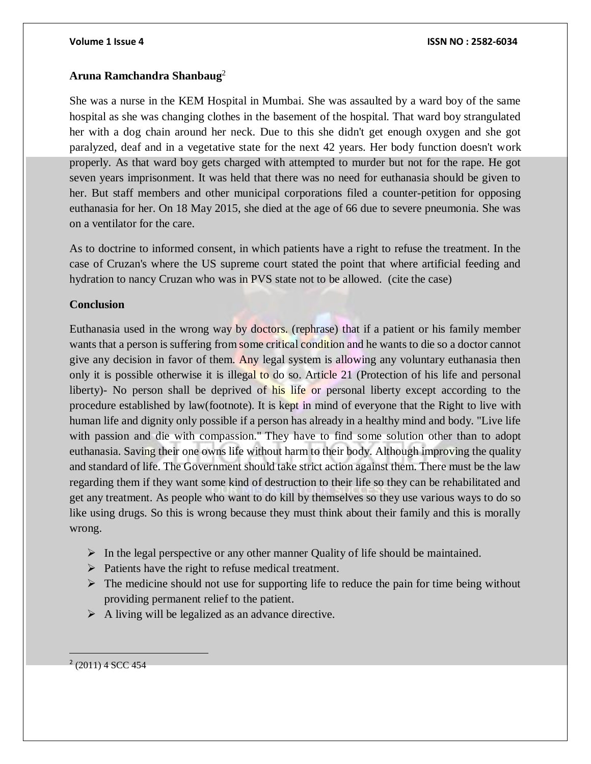### **Volume 1 Issue 4 ISSN NO : 2582-6034**

# **Aruna Ramchandra Shanbaug**<sup>2</sup>

She was a nurse in the KEM Hospital in Mumbai. She was assaulted by a ward boy of the same hospital as she was changing clothes in the basement of the hospital. That ward boy strangulated her with a dog chain around her neck. Due to this she didn't get enough oxygen and she got paralyzed, deaf and in a vegetative state for the next 42 years. Her body function doesn't work properly. As that ward boy gets charged with attempted to murder but not for the rape. He got seven years imprisonment. It was held that there was no need for euthanasia should be given to her. But staff members and other municipal corporations filed a counter-petition for opposing euthanasia for her. On 18 May 2015, she died at the age of 66 due to severe pneumonia. She was on a ventilator for the care.

As to doctrine to informed consent, in which patients have a right to refuse the treatment. In the case of Cruzan's where the US supreme court stated the point that where artificial feeding and hydration to nancy Cruzan who was in PVS state not to be allowed. (cite the case)

# **Conclusion**

Euthanasia used in the wrong way by doctors. (rephrase) that if a patient or his family member wants that a person is suffering from some critical condition and he wants to die so a doctor cannot give any decision in favor of them. Any legal system is allowing any voluntary euthanasia then only it is possible otherwise it is illegal to do so. Article 21 (Protection of his life and personal liberty)- No person shall be deprived of his life or personal liberty except according to the procedure established by law(footnote). It is kept in mind of everyone that the Right to live with human life and dignity only possible if a person has already in a healthy mind and body. "Live life with passion and die with compassion." They have to find some solution other than to adopt euthanasia. Saving their one owns life without harm to their body. Although improving the quality and standard of life. The Government should take strict action against them. There must be the law regarding them if they want some kind of destruction to their life so they can be rehabilitated and get any treatment. As people who want to do kill by themselves so they use various ways to do so like using drugs. So this is wrong because they must think about their family and this is morally wrong.

- $\triangleright$  In the legal perspective or any other manner Quality of life should be maintained.
- $\triangleright$  Patients have the right to refuse medical treatment.
- $\triangleright$  The medicine should not use for supporting life to reduce the pain for time being without providing permanent relief to the patient.
- $\triangleright$  A living will be legalized as an advance directive.

 $2(2011)$  4 SCC 454

 $\overline{a}$